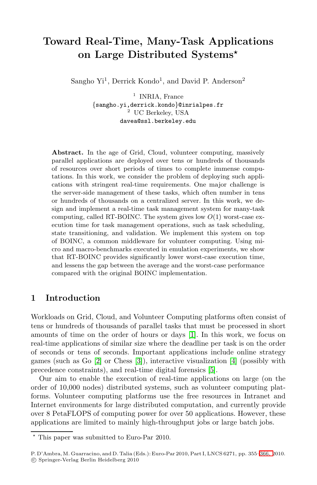# **Toward Real-Time, Many-Task Applications on Large Distributed Systems***-*

Sangho  $Yi<sup>1</sup>$ , Derrick Kondo<sup>1</sup>, and David P. Anderson<sup>2</sup>

<sup>1</sup> INRIA, France *{*sangho.yi,derrick.kondo*}*@inrialpes.fr <sup>2</sup> UC Berkeley, USA davea@ssl.berkeley.edu

**Abstract.** In the age of Grid, Cloud, volunteer computing, massively parallel applications are deployed over tens or hundreds of thousands of resources over short periods of times to complete immense computations. In this work, we consider the problem of deploying such applications with stringent real-time requirements. One major challenge is the server-side management of these tasks, which often number in tens or hundreds of thousands on a centralized server. In this work, we design and implement a real-time task management system for many-task computing, called RT-BOINC. The system gives low *O*(1) worst-case execution time for task management operations, such as task scheduling, state transitioning, and validation. We implement this system on top of BOINC, a common middleware for volunteer computing. Using micro and macro-benchmarks executed in emulation experiments, we show that RT-BOINC provides significantly lower worst-case execution time, and lessens the gap betwe[en](#page-10-0) the average and the worst-case performance compared with the original BOINC implementation.

# **[1](#page-10-1) Introd[uc](#page-10-2)tion**

Workloads on Grid, Cloud, and Volunteer Computing platforms often consist of tens or hundreds of thousands of parallel tasks that must be processed in short amounts of time on the order of hours or days [1]. In this work, we focus on real-time applications of similar size where the deadline per task is on the order of seconds or tens of seconds. Important applications include online strategy games (such as Go [2] or Chess [3]), interactive visualization [4] (possibly with precedence constraints), and real-time digital forensics [5].

Our aim to enable the execution of real-time applications on large (on the order of 10,000 nodes) distributed systems, such as [volu](#page-11-0)nteer computing platforms. Volunteer computing platforms use the free resources in Intranet and Internet environments for large distributed computation, and currently provide over 8 PetaFLOPS of computing power for over 50 applications. However, these applications are limited to mainly high-throughput jobs or large batch jobs.

<sup>-</sup> This paper was submitted to Euro-Par 2010.

P. D'Ambra, M. Guarracino, and D. Talia (Eds.): Euro-Par 2010, Part I, LNCS 6271, pp. 355–366, 2010. -c Springer-Verlag Berlin Heidelberg 2010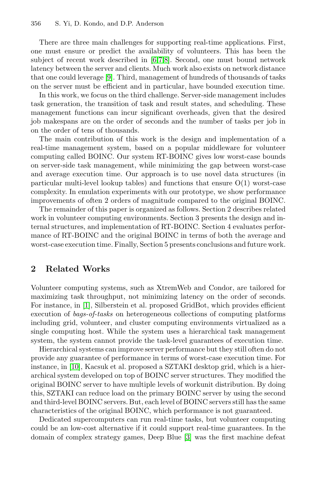There are three main challenges for supporting real-time applications. First, one must ensure or predict the availability of volunteers. This has been the subject of recent work described in [6,7,8]. Second, one must bound network latency between the server and clients. Much work also exists on network distance that one could leverage [9]. Third, management of hundreds of thousands of tasks on the server must be efficient and in particular, have bounded execution time.

In this work, we focus on the third challenge. Server-side management includes task generation, the transition of task and result states, and scheduling. These management functions can incur significant overheads, given that the desired job makespans are on the order of seconds and the number of tasks per job in on the order of tens of thousands.

The main contribution of this work is the design and implementation of a real-time management system, based on a popular middleware for volunteer computing called BOINC. Our system RT-BOINC gives low worst-case bounds on server-side task management, while minimizing the gap between worst-case and average execution time. Our approach is to use novel data structures (in particular multi-level lookup tables) and functions that ensure  $O(1)$  worst-case complexity. In emulation experiments with our prototype, we show performance improvements of often 2 orders of magnitude compared to the original BOINC.

The remainder of this paper is organized as follows. Section 2 describes related work in volunteer computing environments. Section 3 presents the design and internal structures, and implementation of RT-BOINC. Section 4 evaluates performance of RT-BOINC and the original BOINC in terms of both the average and worst-case execution time. Finally, Section 5 presents conclusions and future work.

# **2 Related Works**

Volunteer computing systems, such as XtremWeb and Condor, are tailored for maximizing task throughput, not minimizing latency on the order of seconds. For instance, in [1], Silberstein et al. proposed GridBot, which provides efficient execution of *bags-of-tasks* on heterogeneous collections of computing platforms including grid, volunteer, and cluster computing environments virtualized as a single computing host. While the system uses a hierarchical task management system, the system cannot provide the task-level guarantees of execution time.

Hierarchical systems can improve server performance but they still often do not provide any guarantee of performance in terms of worst-case execution time. For instance, in [10], Kacsuk et al[. p](#page-10-2)roposed a SZTAKI desktop grid, which is a hierarchical system developed on top of BOINC server structures. They modified the original BOINC server to have multiple levels of workunit distribution. By doing this, SZTAKI can reduce load on the primary BOINC server by using the second and third-level BOINC servers. But, each level of BOINC servers still has the same characteristics of the original BOINC, which performance is not guaranteed.

Dedicated supercomputers can run real-time tasks, but volunteer computing could be an low-cost alternative if it could support real-time guarantees. In the domain of complex strategy games, Deep Blue [3] was the first machine defeat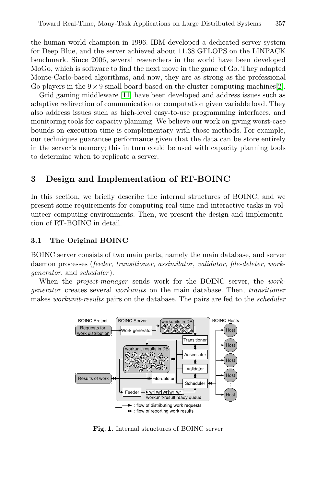the human world champion in 1996. IBM developed a dedicated server system for Deep Blue, and the server achieved about 11*.*38 GFLOPS on the LINPACK benchmark. Since 2006, several researchers in the world have been developed MoGo, which is software to find the next move in the game of Go. They adapted Monte-Carlo-based algorithms, and now, they are as strong as the professional Go players in the  $9 \times 9$  small board based on the cluster computing machines [2].

Grid gaming middleware [11] have been developed and address issues such as adaptive redirection of communication or computation given variable load. They also address issues such as high-level easy-to-use programming interfaces, and monitoring tools for capacity planning. We believe our work on giving worst-case bounds on execution time is complementary with those methods. For example, our techniques guarantee performance given that the data can be store entirely in the server's memory; this in turn could be used with capacity planning tools to determine when to replicate a server.

# **3 Design and Implementation of RT-BOINC**

In this section, we briefly describe the internal structures of BOINC, and we present some requirements for computing real-time and interactive tasks in volunteer computing environments. Then, we present the design and implementation of RT-BOINC in detail.

## **3.1 The Original BOINC**

BOINC server consists of two main parts, namely the main database, and server daemon processes (*feeder*, *transitioner*, *assimilator*, *validator*, *file-deleter*, *workgenerator*, and *scheduler* ).

When the *project-manager* sends work for the BOINC server, the *workgenerator* creates several *workunits* on the main database. Then, *transitioner* makes *workunit-results* pairs on the database. The pairs are fed to the *scheduler*

<span id="page-2-0"></span>

**Fig. 1.** Internal structures of BOINC server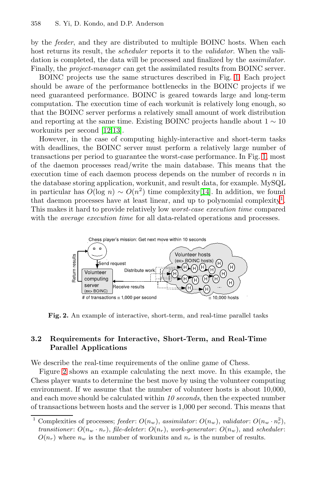by the *feeder*, and they are distributed to multiple BOINC hosts. When each host returns its result, the *scheduler* reports it to the *validator*. When the validat[ion](#page-11-2) [is](#page-11-3) completed, the data will be processed and finalized by the *assimilator*. Finally, the *project-manager* can get the assimilated results from BOINC server.

BOINC projects use the same structures described in Fig. 1. Each project should be aware of the performance bottlenecks in [th](#page-2-0)e BOINC projects if we need guaranteed performance. BOINC is geared towards large and long-term computation. The execution time of each workunit is relatively long enough, so that the BOINC server performs a relatively small amount of work distribution and reporting at the same time. [Exis](#page-11-4)ting BOINC projects handle about  $1 \sim 10$ workunits per second [12,13].

However, in the case of computing highly-interactive [an](#page-3-0)d short-term tasks with deadlines, the BOINC server must perform a relatively large number of transactions per period to guarantee the worst-case performance. In Fig. 1, most of the daemon processes read/write the main database. This means that the execution time of each daemon process depends on the number of records *n* in the database storing application, workunit, and result data, for example. MySQL in particular has  $O(\log n) \sim O(n^2)$  time complexity[14]. In addition, we found that daemon processes have at least linear, and up to polynomial complexity<sup>1</sup>. This makes it hard to provide relatively low *worst-case execution time* compared with the *average execution time* for all data-related operations and processes.



**Fig. 2.** An example of interactive, short-term, and real-time parallel tasks

# **3.2 Requirements for Interactive, Short-Term, and Real-Time Parallel Applications**

<span id="page-3-0"></span>We describe the real-time requirements of the online game of Chess.

Figure 2 shows an example calculating the next move. In this example, the Chess player wants to determine the best move by using the volunteer computing environment. If we assume that the number of volunteer hosts is about 10,000, and each move should be calculated within *10 seconds*, then the expected number of transactions between hosts and the server is 1,000 per second. This means that

<sup>&</sup>lt;sup>1</sup> Complexities of processes; *feeder*:  $O(n_w)$ , *assimilator*:  $O(n_w)$ , *validator*:  $O(n_w \cdot n_r^2)$ , *transitioner*:  $O(n_w \cdot n_r)$ , *file-deleter*:  $O(n_r)$ , *work-generator*:  $O(n_w)$ , and *scheduler*:  $O(n_r)$  where  $n_w$  is the number of workunits and  $n_r$  is the number of results.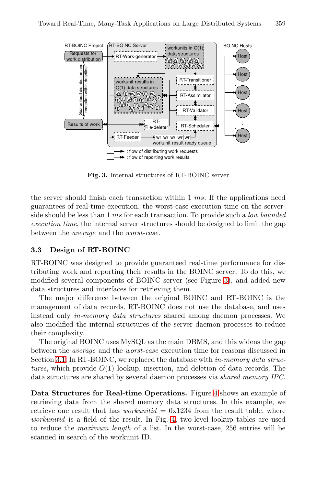

<span id="page-4-0"></span>**Fig. 3.** Internal structures of RT-BOINC server

the server should finish each transaction within 1 *ms*. If the applications need guarantees of real-time execution, the worst-case execution time on the serverside should be less than 1 *ms* for each tra[nsa](#page-4-0)ction. To provide such a *low bounded execution time*, the internal server structures should be designed to limit the gap between the *average* and the *worst-case*.

#### **3.3 Design of RT-BOINC**

RT-BOINC was designed to provide guaranteed real-time performance for distributing work and reporting their results in the BOINC server. To do this, we modified several components of BOINC server (see Figure 3), and added new data structures and interfaces for retrieving them.

The major difference between the original BOINC and RT-BOINC is the management of data records. RT-BOINC does not use the database, and uses instead only *in-memory data structures* shared among daemon processes. We also modified the internal structures [of](#page-5-0) the server daemon processes to reduce their complexity.

The original BOINC uses MySQL as the main DBMS, and this widens the gap between the *average* an[d t](#page-5-0)he *worst-case* execution time for reasons discussed in Section 3.1. In RT-BOINC, we replaced the database with *in-memory data structures*, which provide *O*(1) lookup, insertion, and deletion of data records. The data structures are shared by several daemon processes via *shared memory IPC*.

**Data Structures for Real-time Operations.** Figure 4 shows an example of retrieving data from the shared memory data structures. In this example, we retrieve one result that has *workunitid* =  $0x1234$  from the result table, where *workunitid* is a field of the result. In Fig. 4, two-level lookup tables are used to reduce the *maximum length* of a list. In the worst-case, 256 entries will be scanned in search of the workunit ID.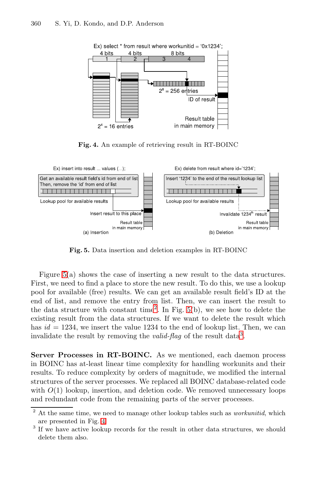<span id="page-5-0"></span>

<span id="page-5-1"></span>**Fig. 4.** An example of retrieving result in RT-BOINC



**Fig. 5.** Data insertion and deletion examples in RT-BOINC

Figure 5(a) shows the case of inserting a new result to the data structures. First, we need to find a place to store the new result. To do this, we use a lookup pool for available (free) results. We can get an available result field's ID at the end of list, and remove the entry from list. Then, we can insert the result to the data structure with constant time<sup>2</sup>. In Fig.  $5(b)$ , we see how to delete the existing result from the data structures. If we want to delete the result which has  $id = 1234$ , we insert the value 1234 to the end of lookup list. Then, we can invalidate the result by removing the *valid-flag* of the result data<sup>3</sup>.

**Se[rv](#page-5-0)er Processes in RT-BOINC.** As we mentioned, each daemon process in BOINC has at-least linear time complexity for handling workunits and their results. To reduce complexity by orders of magnitude, we modified the internal structures of the server processes. We replaced all BOINC database-related code with  $O(1)$  lookup, insertion, and deletion code. We removed unnecessary loops and redundant code from the remaining parts of the server processes.

<sup>2</sup> At the same time, we need to manage other lookup tables such as *workunitid*, which are presented in Fig. 4.

<sup>&</sup>lt;sup>3</sup> If we have active lookup records for the result in other data structures, we should delete them also.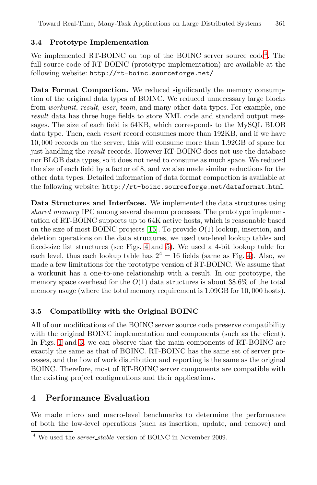#### **3.4 Prototype Implementation**

We implemented RT-BOINC on top of the BOINC server source  $\text{code}^4$ . The full source code of RT-BOINC (prototype implementation) are available at the following website: http://rt-boinc.sourceforge.net/

Data Format Compaction. We reduced significantly the memory consumption of the original data types of BOINC. We reduced unnecessary large blocks from *workunit*, *result*, *user*, *team*, and many other data types. For example, one *result* [data has three huge fields to store XML code and sta](http://rt-boinc.sourceforge.net/dataformat.html)ndard output messages. The size of each field is 64KB, which corresponds to the MySQL BLOB data type. Then, each *result* record consumes more than 192KB, and if we have 10*,* 000 records on the server, this will consume more than 1*.*92GB of space for just handling the *result* records. However RT-BOINC does not use the database nor BLOB data t[ypes](#page-11-5), so it does not need to consume as much space. We reduced the size of each field by a factor of 8, and we also made similar reductions for the other data type[s. D](#page-5-0)etai[led](#page-5-1) information of data format compaction is available at the following website: http://rt-boinc.sourc[ef](#page-5-0)orge.net/dataformat.html

**Data Structures and Interfaces.** We implemented the data structures using *shared memory* IPC among several daemon processes. The prototype implementation of RT-BOINC supports up to 64K active hosts, which is reasonable based on the size of most BOINC projects [15]. To provide *O*(1) lookup, insertion, and deletion operations on the data structures, we used two-level lookup tables and fixed-size list structures (see Figs. 4 and 5). We used a 4-bit lookup table for each level, thus each lookup table has  $2^4 = 16$  fields (same as Fig. 4). Also, we made a few limitations for the prototype version of RT-BOINC. We assume that a workunit has a one-to-one relationship with a result. In our prototype, the memory space overhead for the *O*(1) data structures is about 38*.*6% of the total memory usage (where the total memory requirement is 1*.*09GB for 10*,* 000 hosts).

#### **3.5 Compatibility with the Original BOINC**

All of our modifications of the BOINC server source code preserve compatibility with the original BOINC implementation and components (such as the client). In Figs. 1 and 3, we can observe that the main components of RT-BOINC are exactly the same as that of BOINC. RT-BOINC has the same set of server processes, and the flow of work distribution and reporting is the same as the original BOINC. Therefore, most of RT-BOINC server components are compatible with the existing project configurations and their applications.

## **4 Performance Evaluation**

We made micro and macro-level benchmarks to determine the performance of both the low-level operations (such as insertion, update, and remove) and

<sup>4</sup> We used the *server stable* version of BOINC in November 2009.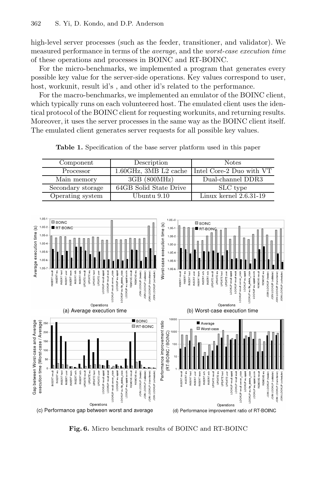high-level server processes (such as the feeder, transitioner, and validator). We measured performance in terms of the *average*, and the *worst-case execution time* of these operations and processes in BOINC and RT-BOINC.

For the micro-benchmarks, we implemented a program that generates every possible key value for the server-side operations. Key values correspond to user, host, workunit, result id's, and other id's related to the performance.

For the macro-benchmarks, we implemented an emulator of the BOINC client, which typically runs on each volunteered host. The emulated client uses the identical protocol of the BOINC client for requesting workunits, and returning results. Moreover, it uses the server processes in the same way as the BOINC client itself. The emulated client generates server requests for all possible key values.

| Component         | Description                     | <b>Notes</b>             |
|-------------------|---------------------------------|--------------------------|
| Processor         | $1.60\text{GHz}$ , 3MB L2 cache | Intel Core-2 Duo with VT |
| Main memory       | 3GB (800MHz)                    | Dual-channel DDR3        |
| Secondary storage | 64GB Solid State Drive          | SLC type                 |
| Operating system  | Ubuntu 9.10                     | Linux kernel $2.6.31-19$ |

**Table 1.** Specification of the base server platform used in this paper



<span id="page-7-0"></span>**Fig. 6.** Micro benchmark results of BOINC and RT-BOINC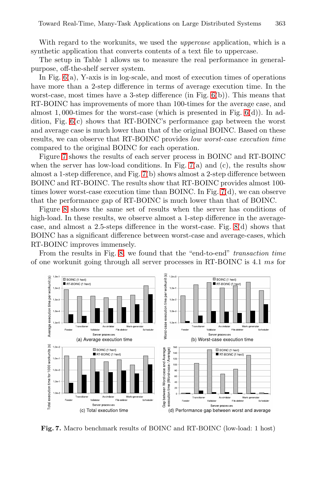With regard to the workunits, we used the *[upp](#page-7-0)ercase* application, which is a synthetic application that converts contents of a text file to uppercase.

The setup in Table 1 allows us to measure the real performance in generalpurpose, off-the-shelf server system.

In Fig. 6(a), Y-axis is in log-scale, and most of execution times of operations have more than a 2-step difference in terms of average execution time. In the worst-case, most times have a [3](#page-8-0)-step difference (in Fig.  $6(b)$ ). This means that RT-BOINC ha[s im](#page-8-0)provements of more than 100-times for the average case, and almost 1*,* 000-times for the worst-case (which is presented in Fig. 6(d)). In addition, Fig. 6(c) shows that RT-BOIN[C's](#page-8-0) performance gap between the worst and average case is much lower than that of the original BOINC. Based on these results, we can observe that RT-BOINC provides *low worst-case execution time* compared to the original BOINC for each operation.

Figure 7 shows the results of each server [pr](#page-9-0)ocess in BOINC and RT-BOINC when the server has low-load conditions. In Fig.  $7(a)$  and (c), the results show almost a 1-step difference, and Fig. 7(b) shows almost a 2-step difference between BOINC [an](#page-9-0)d RT-BOINC. The results show that RT-BOINC provides almost 100 times lower worst-case execution time than BOINC. In Fig. 7(d), we can observe that the performance gap of RT-BOINC is much lower than that of BOINC.

Figure 8 shows the same set of results when the server has conditions of high-load. In these results, we observe almost a 1-step difference in the averagecase, and almost a 2*.*5-steps difference in the worst-case. Fig. 8(d) shows that BOINC has a significant difference between worst-case and average-cases, which RT-BOINC improves immensely.

<span id="page-8-0"></span>

From the results in Fig. 8, we found that the "end-to-end" *transaction time* of one workunit going through all server processes in RT-BOINC is 4*.*1 *ms* for

**Fig. 7.** Macro benchmark results of BOINC and RT-BOINC (low-load: 1 host)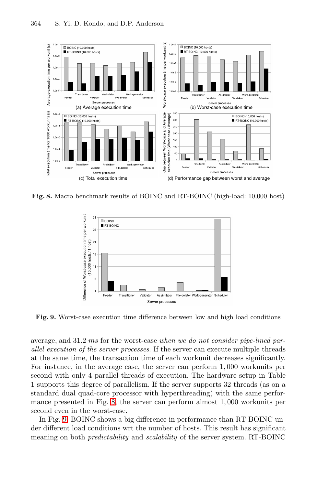

**Fig. 8.** Macro benchmark results of BOINC and RT-BOINC (high-load: 10,000 host)

<span id="page-9-0"></span>

**Fig. 9.** Worst-case execution time difference between low and high load conditions

avera[ge](#page-9-0), and 31*.*2 *ms* for the worst-case *when we do not consider pipe-lined parallel execution of the server processes*. If the server can execute multiple threads at the same time, the transaction time of each workunit decreases significantly. For instance, in the average case, the server can perform 1*,* 000 workunits per second with only 4 parallel threads of execution. The hardware setup in Table 1 supports this degree of parallelism. If the server supports 32 threads (as on a standard dual quad-core processor with hyperthreading) with the same performance presented in Fig. 8, the server can perform almost 1*,* 000 workunits per second even in the worst-case.

In Fig. 9, BOINC shows a big difference in performance than RT-BOINC under different load conditions wrt the number of hosts. This result has significant meaning on both *predictability* and *scalability* of the server system. RT-BOINC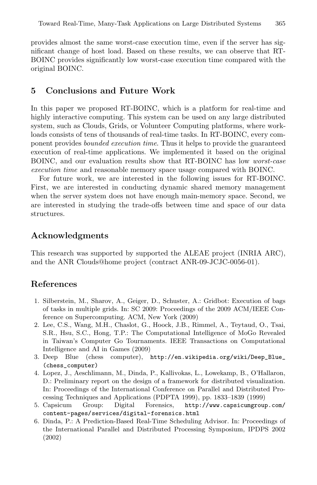provides almost the same worst-case execution time, even if the server has significant change of host load. Based on these results, we can observe that RT-BOINC provides significantly low worst-case execution time compared with the original BOINC.

# **5 Conclusions and Future Work**

In this paper we proposed RT-BOINC, which is a platform for real-time and highly interactive computing. This system can be used on any large distributed system, such as Clouds, Grids, or Volunteer Computing platforms, where workloads consists of tens of thousands of real-time tasks. In RT-BOINC, every component provides *bounded execution time*. Thus it helps to provide the guaranteed execution of real-time applications. We implemented it based on the original BOINC, and our evaluation results show that RT-BOINC has low *worst-case execution time* and reasonable memory space usage compared with BOINC.

For future work, we are interested in the following issues for RT-BOINC. First, we are interested in conducting dynamic shared memory management when the server system does not have enough main-memory space. Second, we are interested in studying the trade-offs between time and space of our data structures.

# <span id="page-10-0"></span>**Acknowledgments**

<span id="page-10-1"></span>This research was supported by supported the ALEAE project (INRIA ARC), and the ANR Clouds@home project (contract ANR-09-JCJC-0056-01).

# <span id="page-10-2"></span>**References**

- [1.](http://en.wikipedia.org/wiki/Deep_Blue_(chess_computer)) Silberstein, M., Sharov, A., Geiger, D., Schuster, A.: Gridbot: Execution of bags of tasks in multiple grids. In: SC 2009: Proceedings of the 2009 ACM/IEEE Conference on Supercomputing. ACM, New York (2009)
- 2. Lee, C.S., Wang, M.H., Chaslot, G., Hoock, J.B., Rimmel, A., Teytaud, O., Tsai, S.R., Hsu, S.C., Hong, T.P.: The Computational Intelligence of MoGo Revealed in Taiwan's Computer Go [Tournaments.](http://www.capsicumgroup.com/content-pages/services/digital-forensics.html) [IEEE](http://www.capsicumgroup.com/content-pages/services/digital-forensics.html) [Transactions](http://www.capsicumgroup.com/content-pages/services/digital-forensics.html) on Computational [Intelligence](http://www.capsicumgroup.com/content-pages/services/digital-forensics.html) [and](http://www.capsicumgroup.com/content-pages/services/digital-forensics.html) [AI](http://www.capsicumgroup.com/content-pages/services/digital-forensics.html) [in](http://www.capsicumgroup.com/content-pages/services/digital-forensics.html) [Games](http://www.capsicumgroup.com/content-pages/services/digital-forensics.html) [\(20](http://www.capsicumgroup.com/content-pages/services/digital-forensics.html)09)
- 3. Deep Blue (chess computer), http://en.wikipedia.org/wiki/Deep\_Blue\_ (chess\_computer)
- 4. Lopez, J., Aeschlimann, M., Dinda, P., Kallivokas, L., Lowekamp, B., O'Hallaron, D.: Preliminary report on the design of a framework for distributed visualization. In: Proceedings of the International Conference on Parallel and Distributed Processing Techniques and Applications (PDPTA 1999), pp. 1833–1839 (1999)
- 5. Capsicum Group: Digital Forensics, http://www.capsicumgroup.com/ content-pages/services/digital-forensics.html
- 6. Dinda, P.: A Prediction-Based Real-Time Scheduling Advisor. In: Proceedings of the International Parallel and Distributed Processing Symposium, IPDPS 2002 (2002)